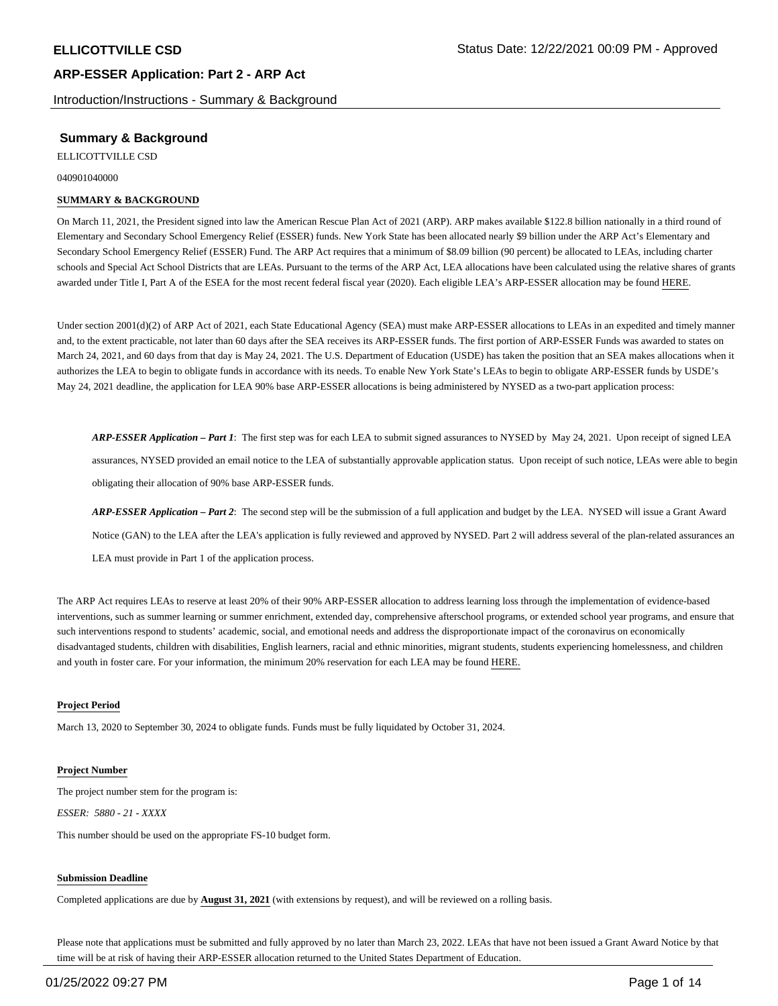Introduction/Instructions - Summary & Background

## **Summary & Background**

ELLICOTTVILLE CSD

040901040000

### **SUMMARY & BACKGROUND**

On March 11, 2021, the President signed into law the American Rescue Plan Act of 2021 (ARP). ARP makes available \$122.8 billion nationally in a third round of Elementary and Secondary School Emergency Relief (ESSER) funds. New York State has been allocated nearly \$9 billion under the ARP Act's Elementary and Secondary School Emergency Relief (ESSER) Fund. The ARP Act requires that a minimum of \$8.09 billion (90 percent) be allocated to LEAs, including charter schools and Special Act School Districts that are LEAs. Pursuant to the terms of the ARP Act, LEA allocations have been calculated using the relative shares of grants awarded under Title I, Part A of the ESEA for the most recent federal fiscal year (2020). Each eligible LEA's ARP-ESSER allocation may be found HERE.

Under section 2001(d)(2) of ARP Act of 2021, each State Educational Agency (SEA) must make ARP-ESSER allocations to LEAs in an expedited and timely manner and, to the extent practicable, not later than 60 days after the SEA receives its ARP-ESSER funds. The first portion of ARP-ESSER Funds was awarded to states on March 24, 2021, and 60 days from that day is May 24, 2021. The U.S. Department of Education (USDE) has taken the position that an SEA makes allocations when it authorizes the LEA to begin to obligate funds in accordance with its needs. To enable New York State's LEAs to begin to obligate ARP-ESSER funds by USDE's May 24, 2021 deadline, the application for LEA 90% base ARP-ESSER allocations is being administered by NYSED as a two-part application process:

*ARP-ESSER Application – Part 1*: The first step was for each LEA to submit signed assurances to NYSED by May 24, 2021. Upon receipt of signed LEA assurances, NYSED provided an email notice to the LEA of substantially approvable application status. Upon receipt of such notice, LEAs were able to begin obligating their allocation of 90% base ARP-ESSER funds.

*ARP-ESSER Application – Part 2*: The second step will be the submission of a full application and budget by the LEA. NYSED will issue a Grant Award Notice (GAN) to the LEA after the LEA's application is fully reviewed and approved by NYSED. Part 2 will address several of the plan-related assurances an LEA must provide in Part 1 of the application process.

The ARP Act requires LEAs to reserve at least 20% of their 90% ARP-ESSER allocation to address learning loss through the implementation of evidence-based interventions, such as summer learning or summer enrichment, extended day, comprehensive afterschool programs, or extended school year programs, and ensure that such interventions respond to students' academic, social, and emotional needs and address the disproportionate impact of the coronavirus on economically disadvantaged students, children with disabilities, English learners, racial and ethnic minorities, migrant students, students experiencing homelessness, and children and youth in foster care. For your information, the minimum 20% reservation for each LEA may be found HERE.

### **Project Period**

March 13, 2020 to September 30, 2024 to obligate funds. Funds must be fully liquidated by October 31, 2024.

### **Project Number**

The project number stem for the program is: *ESSER: 5880 - 21 - XXXX*

This number should be used on the appropriate FS-10 budget form.

### **Submission Deadline**

Completed applications are due by **August 31, 2021** (with extensions by request), and will be reviewed on a rolling basis.

Please note that applications must be submitted and fully approved by no later than March 23, 2022. LEAs that have not been issued a Grant Award Notice by that time will be at risk of having their ARP-ESSER allocation returned to the United States Department of Education.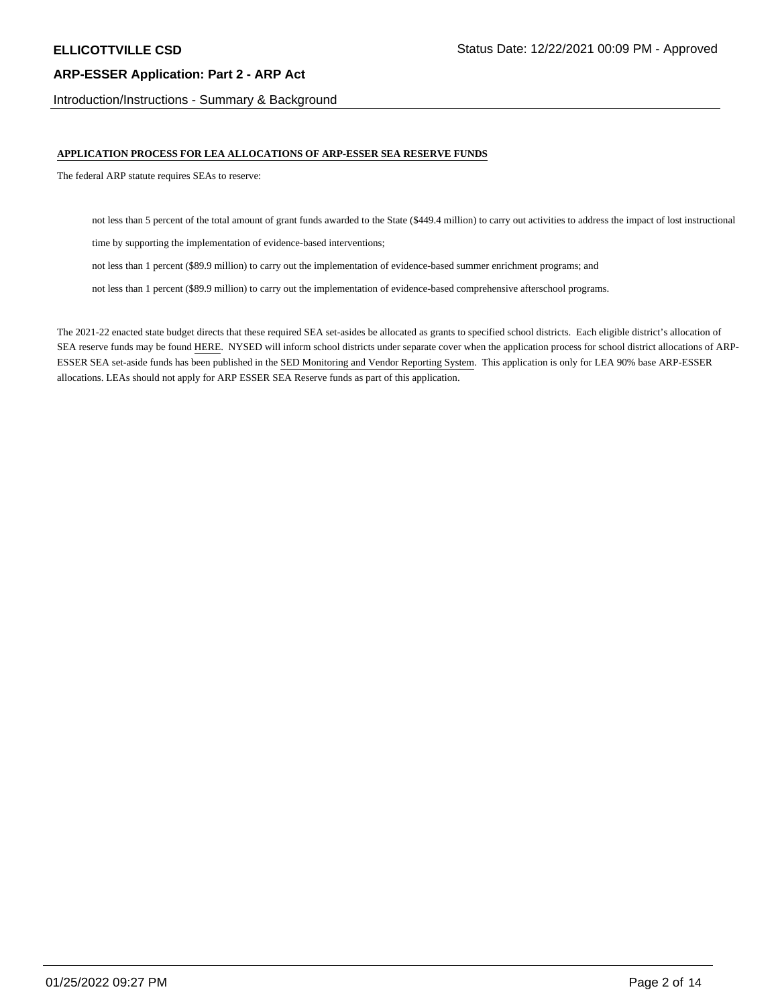Introduction/Instructions - Summary & Background

### **APPLICATION PROCESS FOR LEA ALLOCATIONS OF ARP-ESSER SEA RESERVE FUNDS**

The federal ARP statute requires SEAs to reserve:

not less than 5 percent of the total amount of grant funds awarded to the State (\$449.4 million) to carry out activities to address the impact of lost instructional

time by supporting the implementation of evidence-based interventions;

not less than 1 percent (\$89.9 million) to carry out the implementation of evidence-based summer enrichment programs; and

not less than 1 percent (\$89.9 million) to carry out the implementation of evidence-based comprehensive afterschool programs.

The 2021-22 enacted state budget directs that these required SEA set-asides be allocated as grants to specified school districts. Each eligible district's allocation of SEA reserve funds may be found HERE. NYSED will inform school districts under separate cover when the application process for school district allocations of ARP-ESSER SEA set-aside funds has been published in the SED Monitoring and Vendor Reporting System. This application is only for LEA 90% base ARP-ESSER allocations. LEAs should not apply for ARP ESSER SEA Reserve funds as part of this application.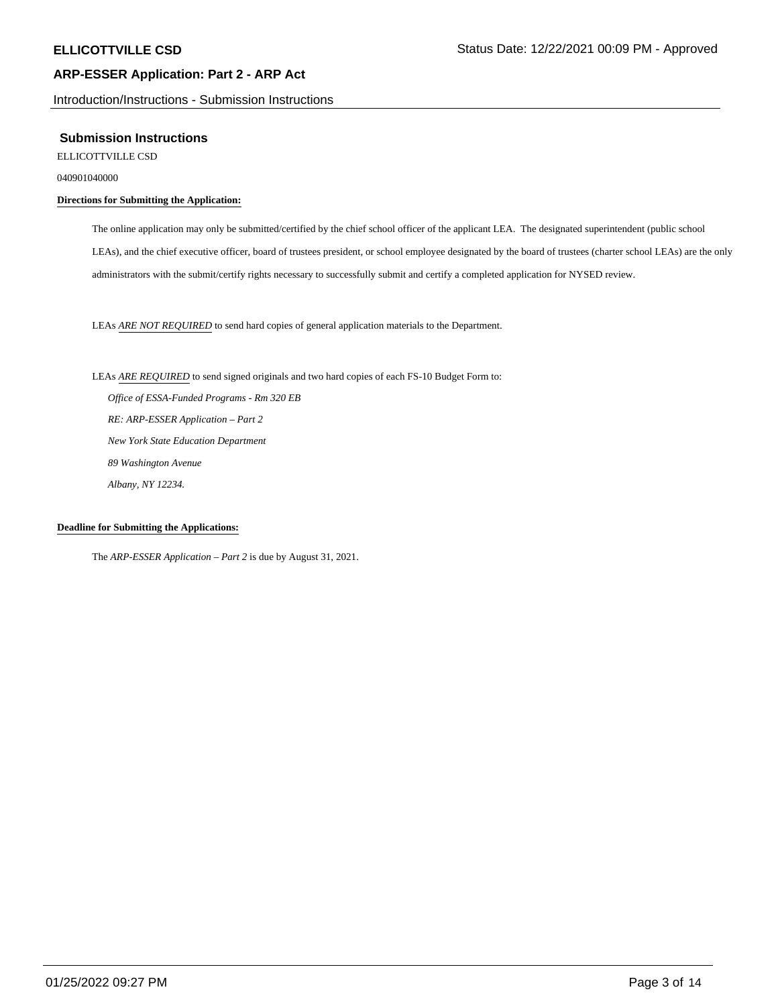Introduction/Instructions - Submission Instructions

### **Submission Instructions**

ELLICOTTVILLE CSD

040901040000

## **Directions for Submitting the Application:**

The online application may only be submitted/certified by the chief school officer of the applicant LEA. The designated superintendent (public school LEAs), and the chief executive officer, board of trustees president, or school employee designated by the board of trustees (charter school LEAs) are the only administrators with the submit/certify rights necessary to successfully submit and certify a completed application for NYSED review.

LEAs *ARE NOT REQUIRED* to send hard copies of general application materials to the Department.

LEAs *ARE REQUIRED* to send signed originals and two hard copies of each FS-10 Budget Form to:  *Office of ESSA-Funded Programs - Rm 320 EB RE: ARP-ESSER Application – Part 2 New York State Education Department 89 Washington Avenue Albany, NY 12234.*

### **Deadline for Submitting the Applications:**

The *ARP-ESSER Application – Part 2* is due by August 31, 2021.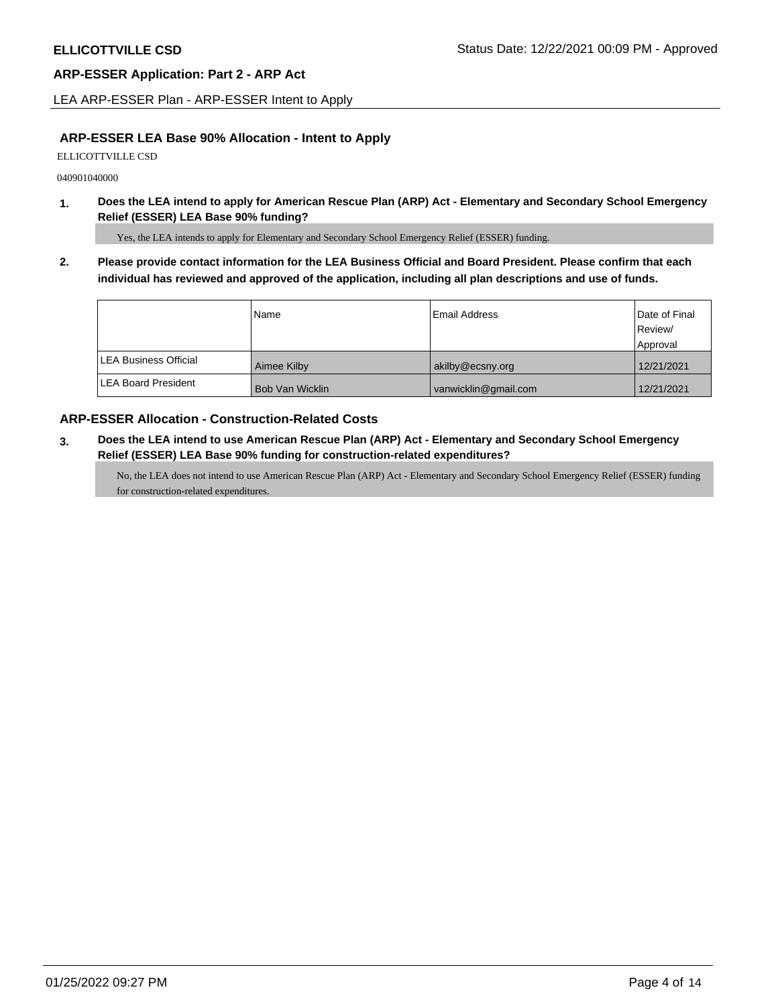LEA ARP-ESSER Plan - ARP-ESSER Intent to Apply

## **ARP-ESSER LEA Base 90% Allocation - Intent to Apply**

ELLICOTTVILLE CSD

040901040000

**1. Does the LEA intend to apply for American Rescue Plan (ARP) Act - Elementary and Secondary School Emergency Relief (ESSER) LEA Base 90% funding?**

Yes, the LEA intends to apply for Elementary and Secondary School Emergency Relief (ESSER) funding.

**2. Please provide contact information for the LEA Business Official and Board President. Please confirm that each individual has reviewed and approved of the application, including all plan descriptions and use of funds.** 

|                               | Name            | Email Address        | Date of Final<br>Review/<br>Approval |
|-------------------------------|-----------------|----------------------|--------------------------------------|
| <b>ILEA Business Official</b> | Aimee Kilby     | akilby@ecsny.org     | 12/21/2021                           |
| <b>ILEA Board President</b>   | Bob Van Wicklin | vanwicklin@gmail.com | 12/21/2021                           |

## **ARP-ESSER Allocation - Construction-Related Costs**

**3. Does the LEA intend to use American Rescue Plan (ARP) Act - Elementary and Secondary School Emergency Relief (ESSER) LEA Base 90% funding for construction-related expenditures?**

No, the LEA does not intend to use American Rescue Plan (ARP) Act - Elementary and Secondary School Emergency Relief (ESSER) funding for construction-related expenditures.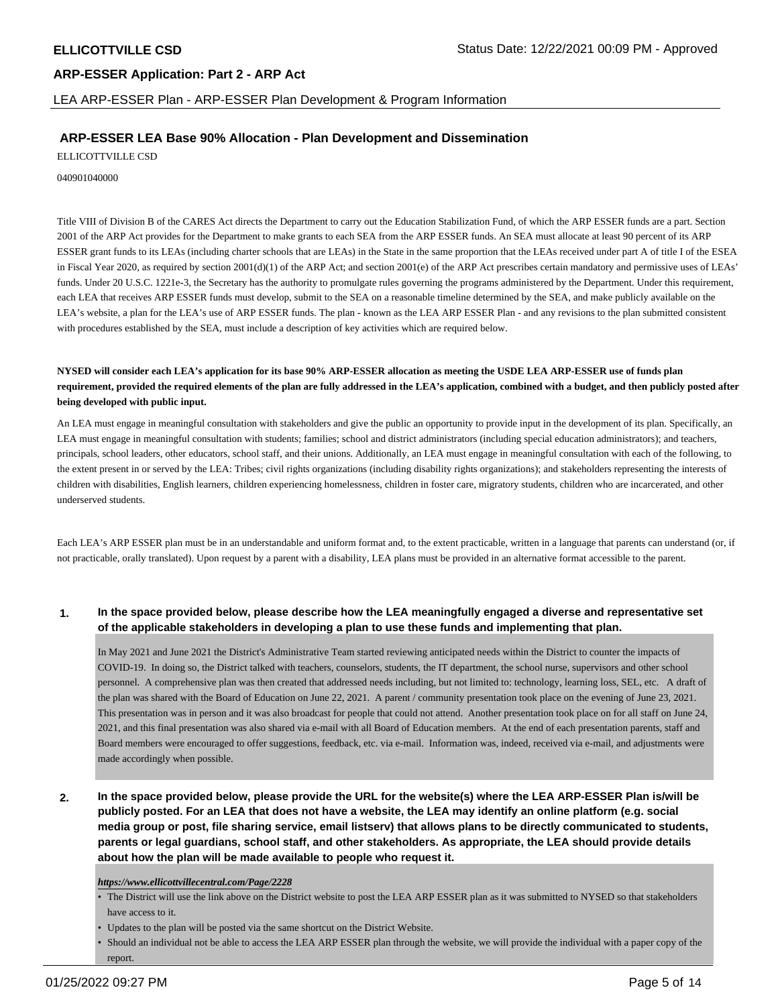LEA ARP-ESSER Plan - ARP-ESSER Plan Development & Program Information

## **ARP-ESSER LEA Base 90% Allocation - Plan Development and Dissemination**

ELLICOTTVILLE CSD

040901040000

Title VIII of Division B of the CARES Act directs the Department to carry out the Education Stabilization Fund, of which the ARP ESSER funds are a part. Section 2001 of the ARP Act provides for the Department to make grants to each SEA from the ARP ESSER funds. An SEA must allocate at least 90 percent of its ARP ESSER grant funds to its LEAs (including charter schools that are LEAs) in the State in the same proportion that the LEAs received under part A of title I of the ESEA in Fiscal Year 2020, as required by section  $2001(d)(1)$  of the ARP Act; and section  $2001(e)$  of the ARP Act prescribes certain mandatory and permissive uses of LEAs' funds. Under 20 U.S.C. 1221e-3, the Secretary has the authority to promulgate rules governing the programs administered by the Department. Under this requirement, each LEA that receives ARP ESSER funds must develop, submit to the SEA on a reasonable timeline determined by the SEA, and make publicly available on the LEA's website, a plan for the LEA's use of ARP ESSER funds. The plan - known as the LEA ARP ESSER Plan - and any revisions to the plan submitted consistent with procedures established by the SEA, must include a description of key activities which are required below.

**NYSED will consider each LEA's application for its base 90% ARP-ESSER allocation as meeting the USDE LEA ARP-ESSER use of funds plan requirement, provided the required elements of the plan are fully addressed in the LEA's application, combined with a budget, and then publicly posted after being developed with public input.**

An LEA must engage in meaningful consultation with stakeholders and give the public an opportunity to provide input in the development of its plan. Specifically, an LEA must engage in meaningful consultation with students; families; school and district administrators (including special education administrators); and teachers, principals, school leaders, other educators, school staff, and their unions. Additionally, an LEA must engage in meaningful consultation with each of the following, to the extent present in or served by the LEA: Tribes; civil rights organizations (including disability rights organizations); and stakeholders representing the interests of children with disabilities, English learners, children experiencing homelessness, children in foster care, migratory students, children who are incarcerated, and other underserved students.

Each LEA's ARP ESSER plan must be in an understandable and uniform format and, to the extent practicable, written in a language that parents can understand (or, if not practicable, orally translated). Upon request by a parent with a disability, LEA plans must be provided in an alternative format accessible to the parent.

## **1. In the space provided below, please describe how the LEA meaningfully engaged a diverse and representative set of the applicable stakeholders in developing a plan to use these funds and implementing that plan.**

In May 2021 and June 2021 the District's Administrative Team started reviewing anticipated needs within the District to counter the impacts of COVID-19. In doing so, the District talked with teachers, counselors, students, the IT department, the school nurse, supervisors and other school personnel. A comprehensive plan was then created that addressed needs including, but not limited to: technology, learning loss, SEL, etc. A draft of the plan was shared with the Board of Education on June 22, 2021. A parent / community presentation took place on the evening of June 23, 2021. This presentation was in person and it was also broadcast for people that could not attend. Another presentation took place on for all staff on June 24, 2021, and this final presentation was also shared via e-mail with all Board of Education members. At the end of each presentation parents, staff and Board members were encouraged to offer suggestions, feedback, etc. via e-mail. Information was, indeed, received via e-mail, and adjustments were made accordingly when possible.

**2. In the space provided below, please provide the URL for the website(s) where the LEA ARP-ESSER Plan is/will be publicly posted. For an LEA that does not have a website, the LEA may identify an online platform (e.g. social media group or post, file sharing service, email listserv) that allows plans to be directly communicated to students, parents or legal guardians, school staff, and other stakeholders. As appropriate, the LEA should provide details about how the plan will be made available to people who request it.**

### *https://www.ellicottvillecentral.com/Page/2228*

- The District will use the link above on the District website to post the LEA ARP ESSER plan as it was submitted to NYSED so that stakeholders have access to it.
- Updates to the plan will be posted via the same shortcut on the District Website.
- Should an individual not be able to access the LEA ARP ESSER plan through the website, we will provide the individual with a paper copy of the report.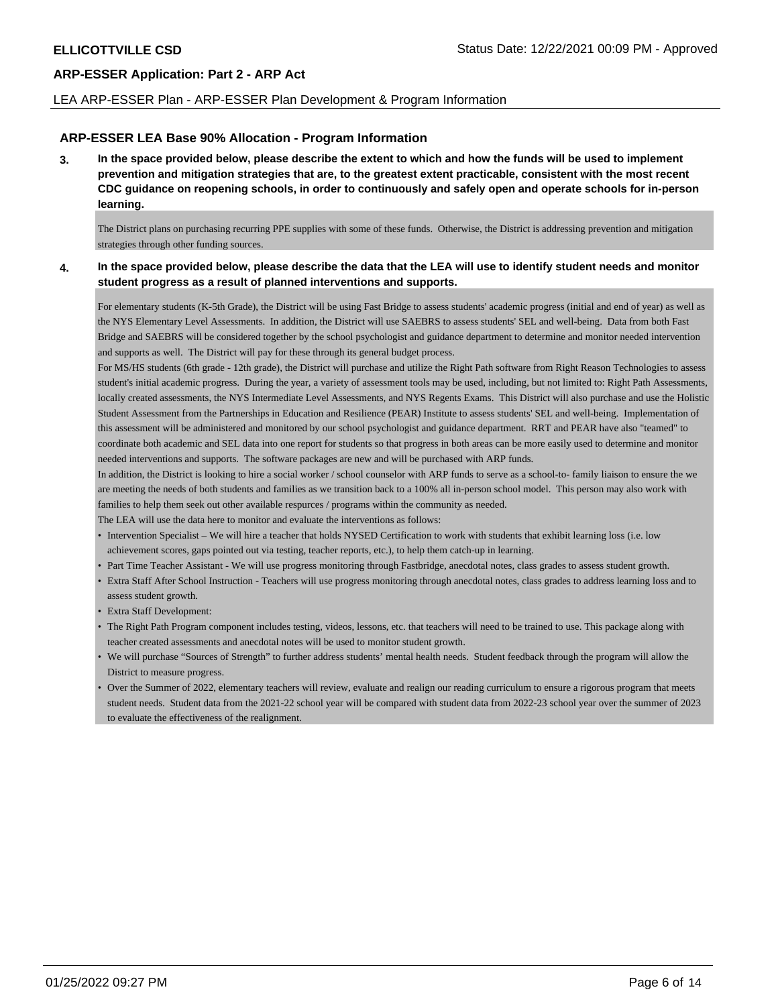### LEA ARP-ESSER Plan - ARP-ESSER Plan Development & Program Information

## **ARP-ESSER LEA Base 90% Allocation - Program Information**

**3. In the space provided below, please describe the extent to which and how the funds will be used to implement prevention and mitigation strategies that are, to the greatest extent practicable, consistent with the most recent CDC guidance on reopening schools, in order to continuously and safely open and operate schools for in-person learning.**

The District plans on purchasing recurring PPE supplies with some of these funds. Otherwise, the District is addressing prevention and mitigation strategies through other funding sources.

### **4. In the space provided below, please describe the data that the LEA will use to identify student needs and monitor student progress as a result of planned interventions and supports.**

For elementary students (K-5th Grade), the District will be using Fast Bridge to assess students' academic progress (initial and end of year) as well as the NYS Elementary Level Assessments. In addition, the District will use SAEBRS to assess students' SEL and well-being. Data from both Fast Bridge and SAEBRS will be considered together by the school psychologist and guidance department to determine and monitor needed intervention and supports as well. The District will pay for these through its general budget process.

For MS/HS students (6th grade - 12th grade), the District will purchase and utilize the Right Path software from Right Reason Technologies to assess student's initial academic progress. During the year, a variety of assessment tools may be used, including, but not limited to: Right Path Assessments, locally created assessments, the NYS Intermediate Level Assessments, and NYS Regents Exams. This District will also purchase and use the Holistic Student Assessment from the Partnerships in Education and Resilience (PEAR) Institute to assess students' SEL and well-being. Implementation of this assessment will be administered and monitored by our school psychologist and guidance department. RRT and PEAR have also "teamed" to coordinate both academic and SEL data into one report for students so that progress in both areas can be more easily used to determine and monitor needed interventions and supports. The software packages are new and will be purchased with ARP funds.

In addition, the District is looking to hire a social worker / school counselor with ARP funds to serve as a school-to- family liaison to ensure the we are meeting the needs of both students and families as we transition back to a 100% all in-person school model. This person may also work with families to help them seek out other available respurces / programs within the community as needed.

The LEA will use the data here to monitor and evaluate the interventions as follows:

- Intervention Specialist We will hire a teacher that holds NYSED Certification to work with students that exhibit learning loss (i.e. low achievement scores, gaps pointed out via testing, teacher reports, etc.), to help them catch-up in learning.
- Part Time Teacher Assistant We will use progress monitoring through Fastbridge, anecdotal notes, class grades to assess student growth.
- Extra Staff After School Instruction Teachers will use progress monitoring through anecdotal notes, class grades to address learning loss and to assess student growth.
- Extra Staff Development:
- The Right Path Program component includes testing, videos, lessons, etc. that teachers will need to be trained to use. This package along with teacher created assessments and anecdotal notes will be used to monitor student growth.
- We will purchase "Sources of Strength" to further address students' mental health needs. Student feedback through the program will allow the District to measure progress.
- Over the Summer of 2022, elementary teachers will review, evaluate and realign our reading curriculum to ensure a rigorous program that meets student needs. Student data from the 2021-22 school year will be compared with student data from 2022-23 school year over the summer of 2023 to evaluate the effectiveness of the realignment.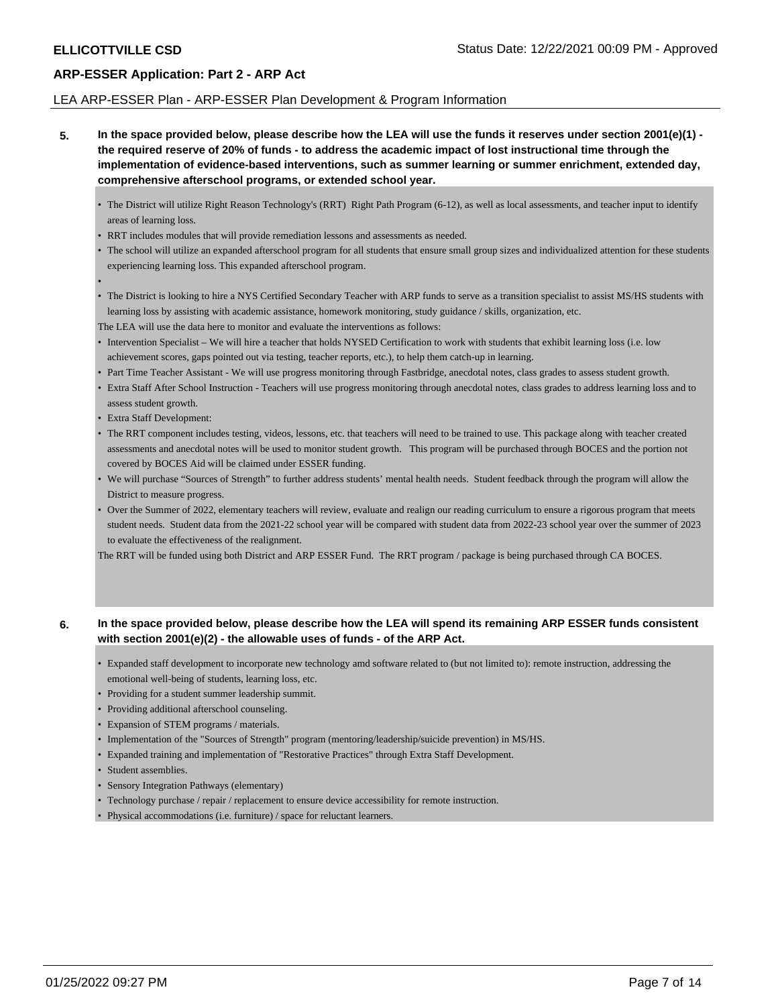•

## **ARP-ESSER Application: Part 2 - ARP Act**

### LEA ARP-ESSER Plan - ARP-ESSER Plan Development & Program Information

**5. In the space provided below, please describe how the LEA will use the funds it reserves under section 2001(e)(1) the required reserve of 20% of funds - to address the academic impact of lost instructional time through the implementation of evidence-based interventions, such as summer learning or summer enrichment, extended day, comprehensive afterschool programs, or extended school year.**

- The District will utilize Right Reason Technology's (RRT) Right Path Program (6-12), as well as local assessments, and teacher input to identify areas of learning loss.
- RRT includes modules that will provide remediation lessons and assessments as needed.
- The school will utilize an expanded afterschool program for all students that ensure small group sizes and individualized attention for these students experiencing learning loss. This expanded afterschool program.
- The District is looking to hire a NYS Certified Secondary Teacher with ARP funds to serve as a transition specialist to assist MS/HS students with learning loss by assisting with academic assistance, homework monitoring, study guidance / skills, organization, etc.

The LEA will use the data here to monitor and evaluate the interventions as follows:

- Intervention Specialist We will hire a teacher that holds NYSED Certification to work with students that exhibit learning loss (i.e. low achievement scores, gaps pointed out via testing, teacher reports, etc.), to help them catch-up in learning.
- Part Time Teacher Assistant We will use progress monitoring through Fastbridge, anecdotal notes, class grades to assess student growth.
- Extra Staff After School Instruction Teachers will use progress monitoring through anecdotal notes, class grades to address learning loss and to assess student growth.
- Extra Staff Development:
- The RRT component includes testing, videos, lessons, etc. that teachers will need to be trained to use. This package along with teacher created assessments and anecdotal notes will be used to monitor student growth. This program will be purchased through BOCES and the portion not covered by BOCES Aid will be claimed under ESSER funding.
- We will purchase "Sources of Strength" to further address students' mental health needs. Student feedback through the program will allow the District to measure progress.
- Over the Summer of 2022, elementary teachers will review, evaluate and realign our reading curriculum to ensure a rigorous program that meets student needs. Student data from the 2021-22 school year will be compared with student data from 2022-23 school year over the summer of 2023 to evaluate the effectiveness of the realignment.

The RRT will be funded using both District and ARP ESSER Fund. The RRT program / package is being purchased through CA BOCES.

## **6. In the space provided below, please describe how the LEA will spend its remaining ARP ESSER funds consistent with section 2001(e)(2) - the allowable uses of funds - of the ARP Act.**

- Expanded staff development to incorporate new technology amd software related to (but not limited to): remote instruction, addressing the emotional well-being of students, learning loss, etc.
- Providing for a student summer leadership summit.
- Providing additional afterschool counseling.
- Expansion of STEM programs / materials.
- Implementation of the "Sources of Strength" program (mentoring/leadership/suicide prevention) in MS/HS.
- Expanded training and implementation of "Restorative Practices" through Extra Staff Development.
- Student assemblies.
- Sensory Integration Pathways (elementary)
- Technology purchase / repair / replacement to ensure device accessibility for remote instruction.
- Physical accommodations (i.e. furniture) / space for reluctant learners.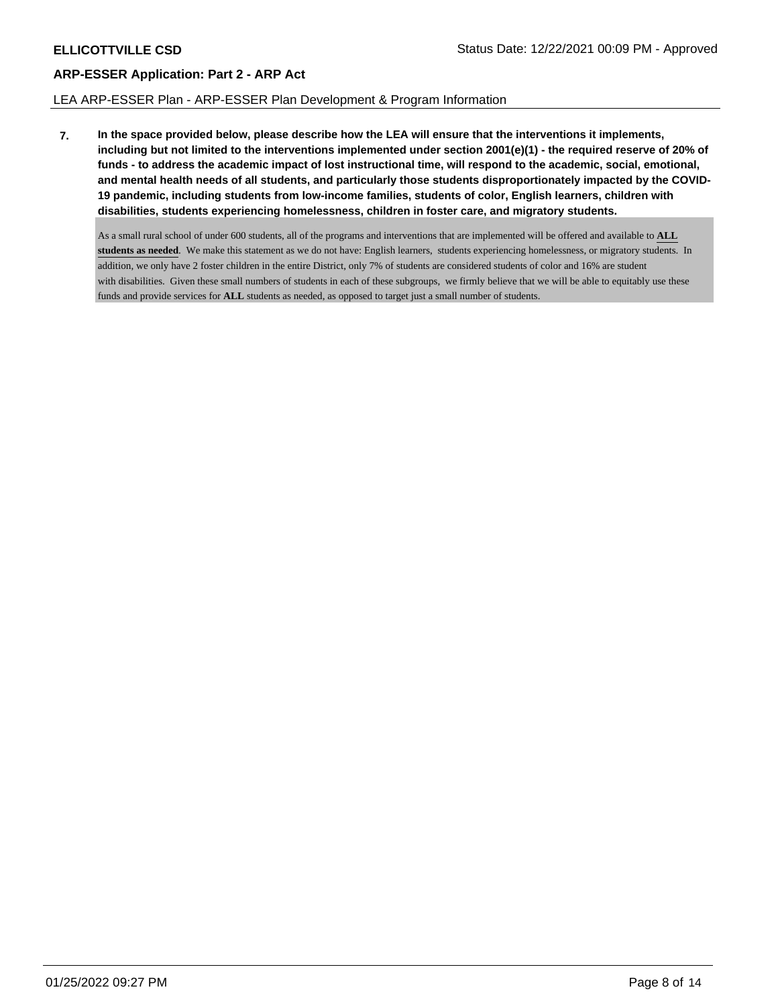## LEA ARP-ESSER Plan - ARP-ESSER Plan Development & Program Information

**7. In the space provided below, please describe how the LEA will ensure that the interventions it implements, including but not limited to the interventions implemented under section 2001(e)(1) - the required reserve of 20% of funds - to address the academic impact of lost instructional time, will respond to the academic, social, emotional, and mental health needs of all students, and particularly those students disproportionately impacted by the COVID-19 pandemic, including students from low-income families, students of color, English learners, children with disabilities, students experiencing homelessness, children in foster care, and migratory students.**

As a small rural school of under 600 students, all of the programs and interventions that are implemented will be offered and available to **ALL students as needed**. We make this statement as we do not have: English learners, students experiencing homelessness, or migratory students. In addition, we only have 2 foster children in the entire District, only 7% of students are considered students of color and 16% are student with disabilities. Given these small numbers of students in each of these subgroups, we firmly believe that we will be able to equitably use these funds and provide services for **ALL** students as needed, as opposed to target just a small number of students.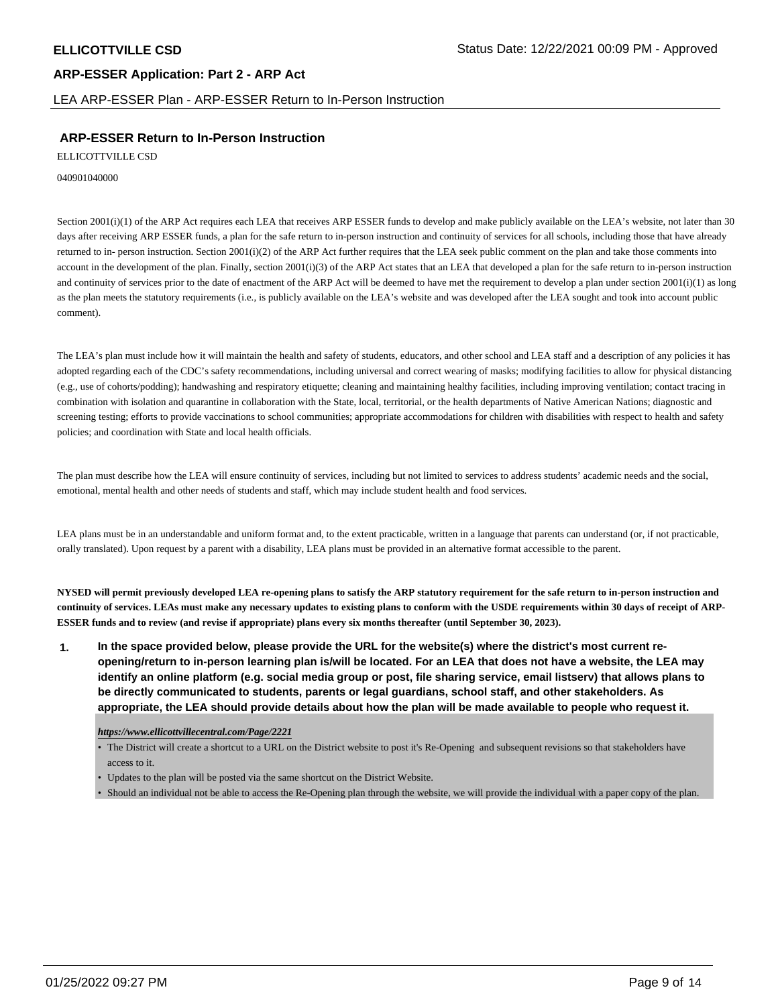LEA ARP-ESSER Plan - ARP-ESSER Return to In-Person Instruction

## **ARP-ESSER Return to In-Person Instruction**

ELLICOTTVILLE CSD

040901040000

Section 2001(i)(1) of the ARP Act requires each LEA that receives ARP ESSER funds to develop and make publicly available on the LEA's website, not later than 30 days after receiving ARP ESSER funds, a plan for the safe return to in-person instruction and continuity of services for all schools, including those that have already returned to in- person instruction. Section 2001(i)(2) of the ARP Act further requires that the LEA seek public comment on the plan and take those comments into account in the development of the plan. Finally, section 2001(i)(3) of the ARP Act states that an LEA that developed a plan for the safe return to in-person instruction and continuity of services prior to the date of enactment of the ARP Act will be deemed to have met the requirement to develop a plan under section  $2001(i)(1)$  as long as the plan meets the statutory requirements (i.e., is publicly available on the LEA's website and was developed after the LEA sought and took into account public comment).

The LEA's plan must include how it will maintain the health and safety of students, educators, and other school and LEA staff and a description of any policies it has adopted regarding each of the CDC's safety recommendations, including universal and correct wearing of masks; modifying facilities to allow for physical distancing (e.g., use of cohorts/podding); handwashing and respiratory etiquette; cleaning and maintaining healthy facilities, including improving ventilation; contact tracing in combination with isolation and quarantine in collaboration with the State, local, territorial, or the health departments of Native American Nations; diagnostic and screening testing; efforts to provide vaccinations to school communities; appropriate accommodations for children with disabilities with respect to health and safety policies; and coordination with State and local health officials.

The plan must describe how the LEA will ensure continuity of services, including but not limited to services to address students' academic needs and the social, emotional, mental health and other needs of students and staff, which may include student health and food services.

LEA plans must be in an understandable and uniform format and, to the extent practicable, written in a language that parents can understand (or, if not practicable, orally translated). Upon request by a parent with a disability, LEA plans must be provided in an alternative format accessible to the parent.

**NYSED will permit previously developed LEA re-opening plans to satisfy the ARP statutory requirement for the safe return to in-person instruction and continuity of services. LEAs must make any necessary updates to existing plans to conform with the USDE requirements within 30 days of receipt of ARP-ESSER funds and to review (and revise if appropriate) plans every six months thereafter (until September 30, 2023).**

**1. In the space provided below, please provide the URL for the website(s) where the district's most current reopening/return to in-person learning plan is/will be located. For an LEA that does not have a website, the LEA may identify an online platform (e.g. social media group or post, file sharing service, email listserv) that allows plans to be directly communicated to students, parents or legal guardians, school staff, and other stakeholders. As appropriate, the LEA should provide details about how the plan will be made available to people who request it.**

### *https://www.ellicottvillecentral.com/Page/2221*

• The District will create a shortcut to a URL on the District website to post it's Re-Opening and subsequent revisions so that stakeholders have access to it.

- Updates to the plan will be posted via the same shortcut on the District Website.
- Should an individual not be able to access the Re-Opening plan through the website, we will provide the individual with a paper copy of the plan.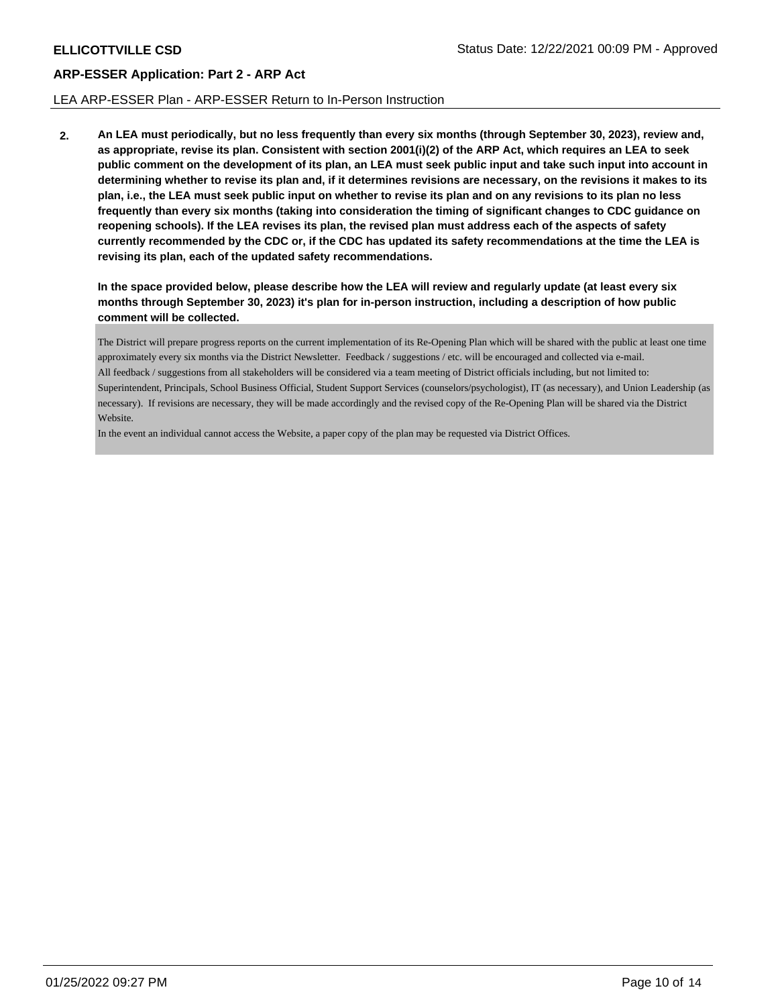## LEA ARP-ESSER Plan - ARP-ESSER Return to In-Person Instruction

**2. An LEA must periodically, but no less frequently than every six months (through September 30, 2023), review and, as appropriate, revise its plan. Consistent with section 2001(i)(2) of the ARP Act, which requires an LEA to seek public comment on the development of its plan, an LEA must seek public input and take such input into account in determining whether to revise its plan and, if it determines revisions are necessary, on the revisions it makes to its plan, i.e., the LEA must seek public input on whether to revise its plan and on any revisions to its plan no less frequently than every six months (taking into consideration the timing of significant changes to CDC guidance on reopening schools). If the LEA revises its plan, the revised plan must address each of the aspects of safety currently recommended by the CDC or, if the CDC has updated its safety recommendations at the time the LEA is revising its plan, each of the updated safety recommendations.**

**In the space provided below, please describe how the LEA will review and regularly update (at least every six months through September 30, 2023) it's plan for in-person instruction, including a description of how public comment will be collected.**

The District will prepare progress reports on the current implementation of its Re-Opening Plan which will be shared with the public at least one time approximately every six months via the District Newsletter. Feedback / suggestions / etc. will be encouraged and collected via e-mail. All feedback / suggestions from all stakeholders will be considered via a team meeting of District officials including, but not limited to: Superintendent, Principals, School Business Official, Student Support Services (counselors/psychologist), IT (as necessary), and Union Leadership (as necessary). If revisions are necessary, they will be made accordingly and the revised copy of the Re-Opening Plan will be shared via the District Website.

In the event an individual cannot access the Website, a paper copy of the plan may be requested via District Offices.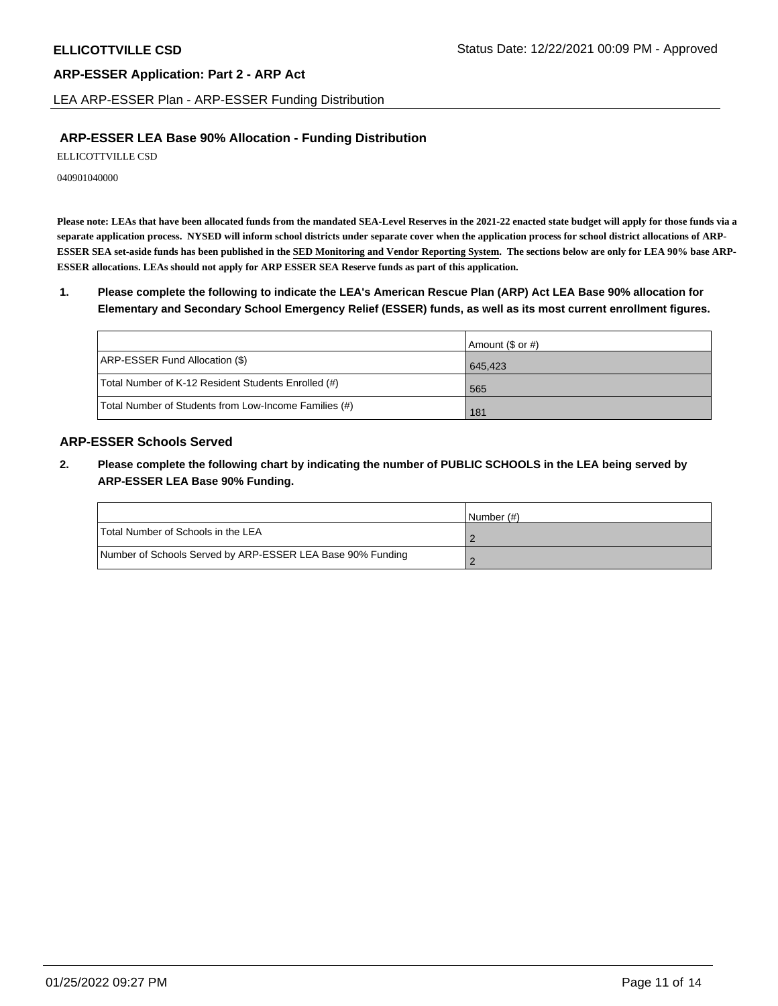LEA ARP-ESSER Plan - ARP-ESSER Funding Distribution

## **ARP-ESSER LEA Base 90% Allocation - Funding Distribution**

ELLICOTTVILLE CSD

040901040000

**Please note: LEAs that have been allocated funds from the mandated SEA-Level Reserves in the 2021-22 enacted state budget will apply for those funds via a separate application process. NYSED will inform school districts under separate cover when the application process for school district allocations of ARP-ESSER SEA set-aside funds has been published in the SED Monitoring and Vendor Reporting System. The sections below are only for LEA 90% base ARP-ESSER allocations. LEAs should not apply for ARP ESSER SEA Reserve funds as part of this application.**

**1. Please complete the following to indicate the LEA's American Rescue Plan (ARP) Act LEA Base 90% allocation for Elementary and Secondary School Emergency Relief (ESSER) funds, as well as its most current enrollment figures.**

|                                                       | Amount (\$ or #) |
|-------------------------------------------------------|------------------|
| ARP-ESSER Fund Allocation (\$)                        | 645.423          |
| Total Number of K-12 Resident Students Enrolled (#)   | 565              |
| Total Number of Students from Low-Income Families (#) | 181              |

## **ARP-ESSER Schools Served**

**2. Please complete the following chart by indicating the number of PUBLIC SCHOOLS in the LEA being served by ARP-ESSER LEA Base 90% Funding.**

|                                                            | INumber (#) |
|------------------------------------------------------------|-------------|
| Total Number of Schools in the LEA                         |             |
| Number of Schools Served by ARP-ESSER LEA Base 90% Funding |             |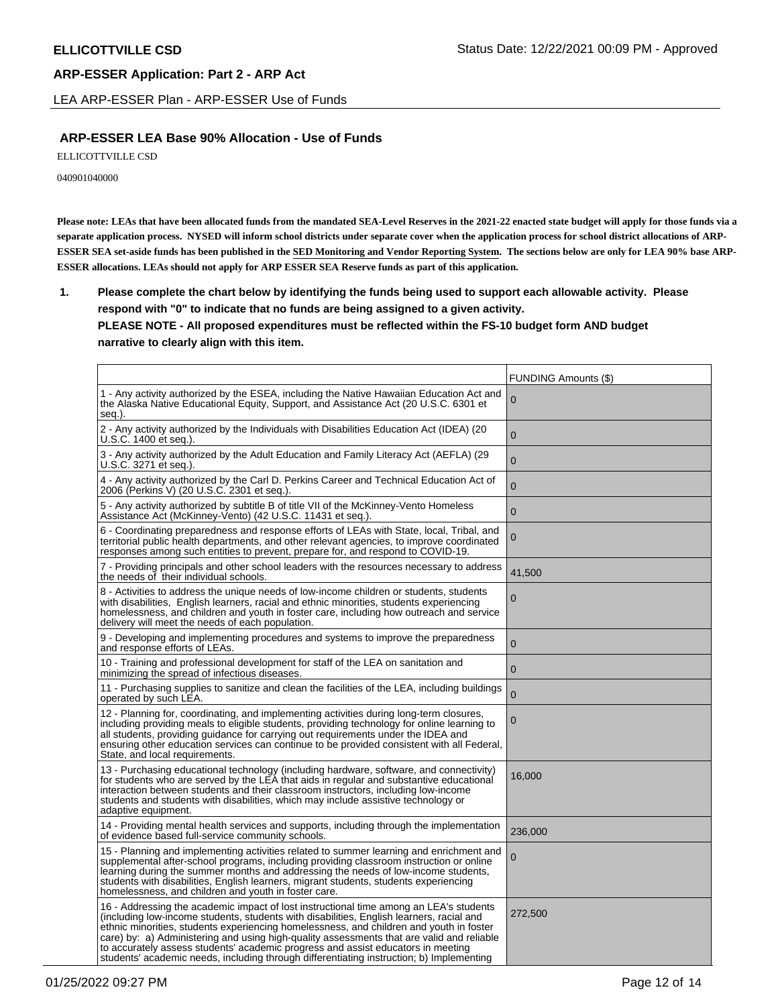LEA ARP-ESSER Plan - ARP-ESSER Use of Funds

## **ARP-ESSER LEA Base 90% Allocation - Use of Funds**

ELLICOTTVILLE CSD

040901040000

**Please note: LEAs that have been allocated funds from the mandated SEA-Level Reserves in the 2021-22 enacted state budget will apply for those funds via a separate application process. NYSED will inform school districts under separate cover when the application process for school district allocations of ARP-ESSER SEA set-aside funds has been published in the SED Monitoring and Vendor Reporting System. The sections below are only for LEA 90% base ARP-ESSER allocations. LEAs should not apply for ARP ESSER SEA Reserve funds as part of this application.**

**1. Please complete the chart below by identifying the funds being used to support each allowable activity. Please respond with "0" to indicate that no funds are being assigned to a given activity. PLEASE NOTE - All proposed expenditures must be reflected within the FS-10 budget form AND budget narrative to clearly align with this item.**

|                                                                                                                                                                                                                                                                                                                                                                                                                                                                                                                                                            | <b>FUNDING Amounts (\$)</b> |
|------------------------------------------------------------------------------------------------------------------------------------------------------------------------------------------------------------------------------------------------------------------------------------------------------------------------------------------------------------------------------------------------------------------------------------------------------------------------------------------------------------------------------------------------------------|-----------------------------|
| 1 - Any activity authorized by the ESEA, including the Native Hawaiian Education Act and<br>the Alaska Native Educational Equity, Support, and Assistance Act (20 U.S.C. 6301 et<br>seg.).                                                                                                                                                                                                                                                                                                                                                                 | 0                           |
| 2 - Any activity authorized by the Individuals with Disabilities Education Act (IDEA) (20<br>U.S.C. 1400 et seq.).                                                                                                                                                                                                                                                                                                                                                                                                                                         | $\Omega$                    |
| 3 - Any activity authorized by the Adult Education and Family Literacy Act (AEFLA) (29<br>U.S.C. 3271 et seq.).                                                                                                                                                                                                                                                                                                                                                                                                                                            | $\overline{0}$              |
| 4 - Any activity authorized by the Carl D. Perkins Career and Technical Education Act of<br>2006 (Perkins V) (20 U.S.C. 2301 et seq.).                                                                                                                                                                                                                                                                                                                                                                                                                     | $\overline{0}$              |
| 5 - Any activity authorized by subtitle B of title VII of the McKinney-Vento Homeless<br>Assistance Act (McKinney-Vento) (42 U.S.C. 11431 et seq.).                                                                                                                                                                                                                                                                                                                                                                                                        | $\mathbf{0}$                |
| 6 - Coordinating preparedness and response efforts of LEAs with State, local, Tribal, and<br>territorial public health departments, and other relevant agencies, to improve coordinated<br>responses among such entities to prevent, prepare for, and respond to COVID-19.                                                                                                                                                                                                                                                                                 | $\mathbf 0$                 |
| 7 - Providing principals and other school leaders with the resources necessary to address<br>the needs of their individual schools.                                                                                                                                                                                                                                                                                                                                                                                                                        | 41,500                      |
| 8 - Activities to address the unique needs of low-income children or students, students<br>with disabilities,English learners, racial and ethnic minorities, students experiencing<br>homelessness, and children and youth in foster care, including how outreach and service<br>delivery will meet the needs of each population.                                                                                                                                                                                                                          | $\overline{0}$              |
| 9 - Developing and implementing procedures and systems to improve the preparedness<br>and response efforts of LEAs.                                                                                                                                                                                                                                                                                                                                                                                                                                        | $\mathbf 0$                 |
| 10 - Training and professional development for staff of the LEA on sanitation and<br>minimizing the spread of infectious diseases.                                                                                                                                                                                                                                                                                                                                                                                                                         | $\mathbf{0}$                |
| 11 - Purchasing supplies to sanitize and clean the facilities of the LEA, including buildings<br>operated by such LEA.                                                                                                                                                                                                                                                                                                                                                                                                                                     | $\overline{0}$              |
| 12 - Planning for, coordinating, and implementing activities during long-term closures,<br>including providing meals to eligible students, providing technology for online learning to<br>all students, providing guidance for carrying out requirements under the IDEA and<br>ensuring other education services can continue to be provided consistent with all Federal,<br>State, and local requirements.                                                                                                                                                | 0                           |
| 13 - Purchasing educational technology (including hardware, software, and connectivity)<br>for students who are served by the LEA that aids in regular and substantive educational<br>interaction between students and their classroom instructors, including low-income<br>students and students with disabilities, which may include assistive technology or<br>adaptive equipment.                                                                                                                                                                      | 16,000                      |
| 14 - Providing mental health services and supports, including through the implementation<br>of evidence based full-service community schools.                                                                                                                                                                                                                                                                                                                                                                                                              | 236,000                     |
| 15 - Planning and implementing activities related to summer learning and enrichment and<br>supplemental after-school programs, including providing classroom instruction or online<br>learning during the summer months and addressing the needs of low-income students,<br>students with disabilities, English learners, migrant students, students experiencing<br>homelessness, and children and youth in foster care.                                                                                                                                  | 0                           |
| 16 - Addressing the academic impact of lost instructional time among an LEA's students<br>(including low-income students, students with disabilities, English learners, racial and<br>ethnic minorities, students experiencing homelessness, and children and youth in foster<br>care) by: a) Administering and using high-quality assessments that are valid and reliable<br>to accurately assess students' academic progress and assist educators in meeting<br>students' academic needs, including through differentiating instruction; b) Implementing | 272,500                     |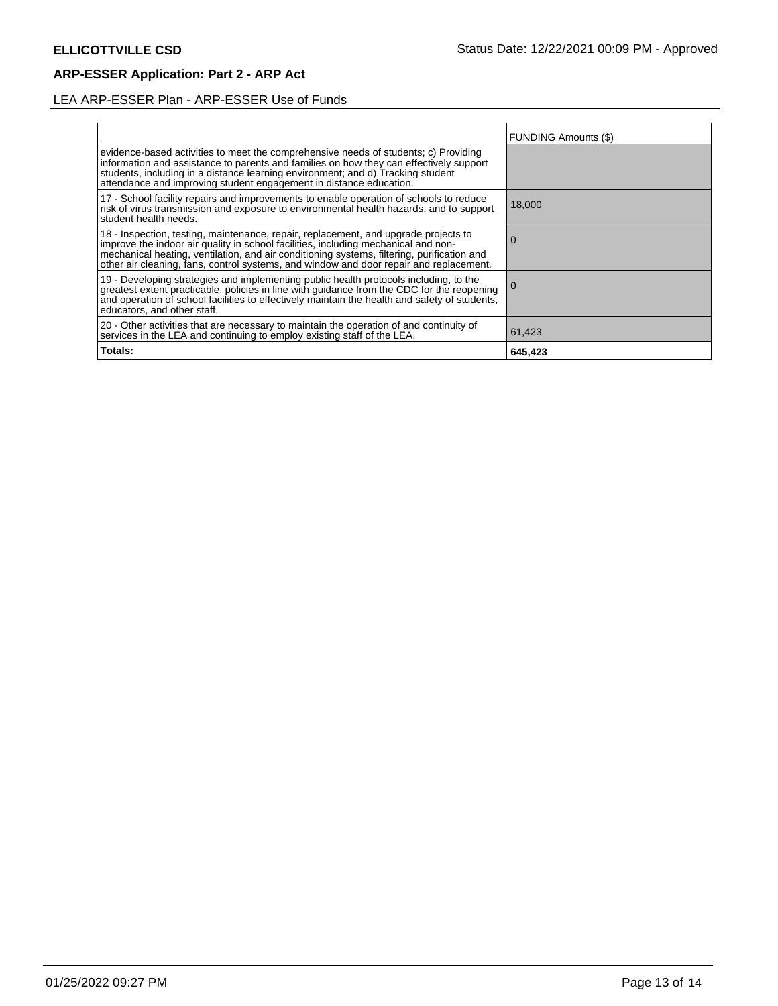# LEA ARP-ESSER Plan - ARP-ESSER Use of Funds

|                                                                                                                                                                                                                                                                                                                                                                | <b>FUNDING Amounts (\$)</b> |
|----------------------------------------------------------------------------------------------------------------------------------------------------------------------------------------------------------------------------------------------------------------------------------------------------------------------------------------------------------------|-----------------------------|
| evidence-based activities to meet the comprehensive needs of students; c) Providing<br>information and assistance to parents and families on how they can effectively support<br>students, including in a distance learning environment; and d) Tracking student<br>attendance and improving student engagement in distance education.                         |                             |
| 17 - School facility repairs and improvements to enable operation of schools to reduce<br>risk of virus transmission and exposure to environmental health hazards, and to support<br>student health needs.                                                                                                                                                     | 18,000                      |
| 18 - Inspection, testing, maintenance, repair, replacement, and upgrade projects to improve the indoor air quality in school facilities, including mechanical and non-<br>mechanical heating, ventilation, and air conditioning systems, filtering, purification and<br>other air cleaning, fans, control systems, and window and door repair and replacement. | U                           |
| 19 - Developing strategies and implementing public health protocols including, to the<br>greatest extent practicable, policies in line with guidance from the CDC for the reopening<br>and operation of school facilities to effectively maintain the health and safety of students,<br>educators, and other staff.                                            | <b>U</b>                    |
| 20 - Other activities that are necessary to maintain the operation of and continuity of<br>services in the LEA and continuing to employ existing staff of the LEA.                                                                                                                                                                                             | 61,423                      |
| Totals:                                                                                                                                                                                                                                                                                                                                                        | 645,423                     |